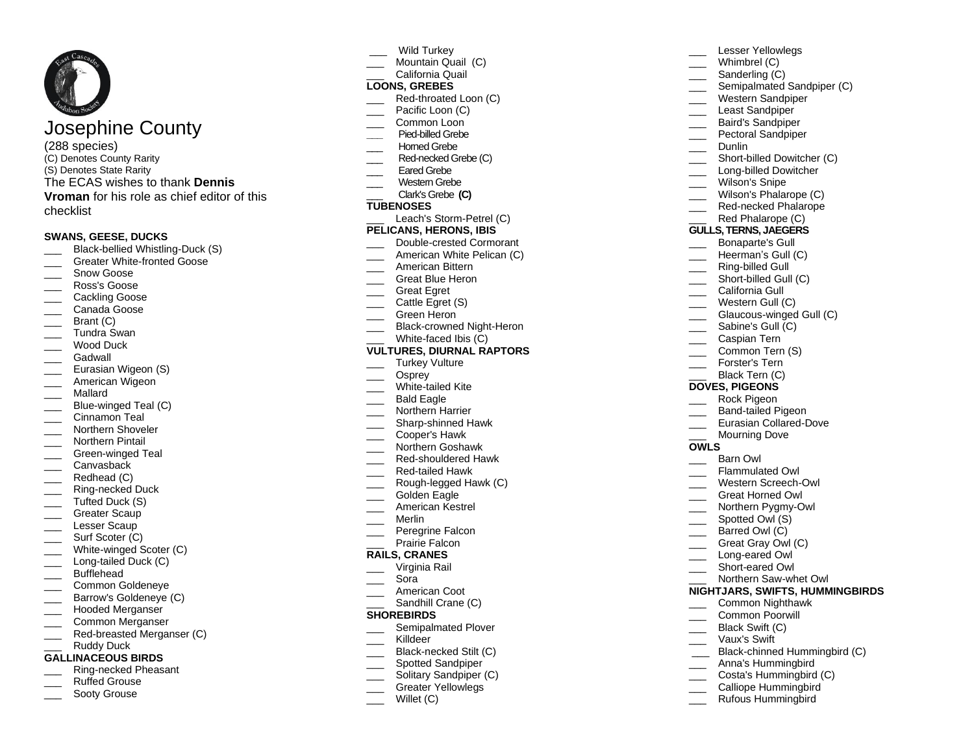# Josephine County

(2 8 <sup>8</sup> species) (C) Denotes County Rarity (S) Denotes State Rarity The ECAS wishes to thank **Dennis Vroman** for his role as chief editor of this checklist

# **SWANS, GEESE, DUCKS**

- \_\_\_ Black -bellied Whistling -Duck (S)
- \_\_\_ Greater White -fronted Goose
- Snow Goose
- \_\_\_ Ross's Goose
- Cackling Goose
- Canada Goose
- Brant (C)
- \_\_\_ Tundra Swan
- Wood Duck
- 
- \_\_\_ Gadwall \_\_\_ Eurasian Wigeon ( S )
- American Wigeon
- \_\_\_ Mallard
- \_\_\_ Blue -winged Teal (C)
- \_\_\_ Cinnamon Teal
- Northern Shoveler
- Northern Pintail
- \_\_\_ Green -winged Teal
- Canvasback
- Redhead (C)
- \_\_\_ Ring -necked Duck
- Tufted Duck (S)
- Greater Scaup
- Lesser Scaup
- Surf Scoter (C)
- \_\_\_ White -winged Scoter (C)
- \_\_\_ Long -tailed Duck (C)
- Bufflehead
- \_\_\_ Common Goldeneye
- Barrow's Goldeneye (C)
- \_\_\_ Hooded Merganser
- $\overline{\phantom{a}}$ Common Merganser
- \_\_\_ Red -breasted Merganser (C)
- Ruddy Duck
- **GALLINACEOUS BIRDS**
- \_\_\_ Ring -necked Pheasant
- Ruffed Grouse
- Sooty Grouse
- Wild Turkey
- Mountain Quail (C)
- California Quail

# **LOONS, GREBES**

- \_\_\_ Red -throated Loon (C)
- Pacific Loon (C)
- Common Loon
- **\_\_\_** Pied -billed Grebe
- Horned Grebe
- \_\_\_ Red -necked Grebe (C)
- Eared Grebe
- \_\_\_ Western Grebe
- \_\_\_ Clark's Grebe **(C)**

# **TUBENOSES**

\_\_\_ Leach's Storm -Petrel ( C)

# **PELICANS, HERONS, IBIS**

- \_\_\_ Double -crested Cormorant
- \_\_\_ American White Pelican ( C )
- \_\_\_ American Bittern
- Great Blue Heron
- Great Egret
- Cattle Egret (S)
- Green Heron
- \_\_\_ Black-crowned Night-Heron
- \_\_\_ White -faced Ibis ( C )

# **VULTURES, DIURNAL RAPTORS**

- Turkey Vulture
- Osprey
- \_\_\_ White -tailed Kite
- Bald Eagle
- Northern Harrier
- \_\_\_ Sharp -shinned Hawk
- \_\_\_ Cooper's Hawk
- \_\_\_ Northern Goshawk
- \_\_\_ Red -shouldered Hawk
- \_\_\_ Red -tailed Hawk
- \_\_\_ Rough -legged Hawk (C)
- Golden Eagle
- \_\_\_ American Kestrel
- \_\_\_ Merlin
- Peregrine Falcon
- Prairie Falcon

# **RAILS, CRANES**

- Virginia Rail
- \_\_\_ Sora
- American Coot
- Sandhill Crane (C)

#### **SHOREBIRDS**

- Semipalmated Plover
- Killdeer
- \_\_\_ Blac k -necked Stilt (C)
- Spotted Sandpiper
- Solitary Sandpiper (C)
- Greater Yellowlegs
- Willet (C)

\_\_\_ Short -billed Dowitcher (C) \_\_\_ Long -billed Dowitcher Wilson's Snipe Wilson's Phalarope (C) \_\_\_ Red -necked Phalarope Red Phalarope (C) **GULLS, TERNS, JAEGERS** Bonaparte's Gull \_\_\_ Heerman 's Gull (C) \_\_\_ Ring -billed Gull \_\_\_ Short -billed Gull (C)

Lesser Yellowlegs Whimbrel (C) Sanderling (C)

\_\_\_ Least Sandpiper \_\_\_ Baird's Sandpiper Pectoral Sandpiper

Dunlin

Semipalmated Sandpiper (C) Western Sandpiper

- \_\_\_ California Gull
- Western Gull (C)

**OWLS**

 $\overline{\phantom{a}}$ 

\_\_\_ Glaucous -winged Gull (C) Sabine's Gull (C)

\_\_\_ Caspian Tern \_\_\_ Common Tern (S) \_\_\_ Forster's Tern Black Tern (C) **DOVES, PIGEONS** \_\_\_ Rock Pigeon \_\_\_ Band -tailed Pigeon \_\_\_ Eurasian Collared -Dove \_\_\_ Mourning Dove

\_\_\_ Barn Owl \_\_\_ Flammulated Owl \_\_\_ Western Screech -Owl \_\_\_ Great Horned Owl \_\_\_ Northern Pygmy-Owl \_\_\_ Spotted Owl (S ) \_\_\_ Barred Owl (C)

\_\_\_ Long -eared Owl \_\_\_ Short -eared Owl \_\_\_ Northern Saw -whet Owl

\_\_\_ Black Swift (C) \_\_\_ Vaux's Swift

Great Gray Owl (C)

**NIGHTJARS, SWIFTS, HUMMINGBIRDS** \_\_\_ Common Nighthawk \_\_\_ Common Poorwill

\_\_\_ Black -chinned Hummingbird (C) \_\_\_ Anna's Hummingbird Costa's Hummingbird (C) Calliope Hummingbird Rufous Hummingbird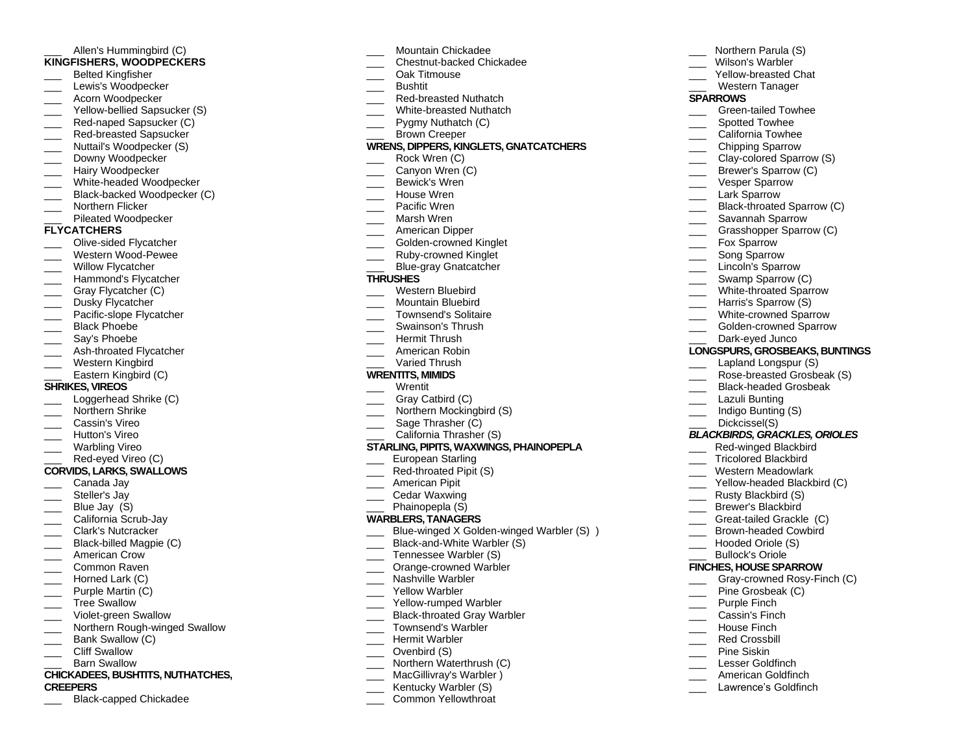# Allen's Hummingbird (C) **KINGFISHERS, WOODPECKER S**

- \_\_\_ Belted Kingfisher
- Lewis's Woodpecker
- Acorn Woodpecker
- \_\_\_ Yellow -bellied Sapsucker (S)
- \_\_\_ Red -naped Sapsucker (C)
- \_\_\_ Red -breasted Sapsucker
- Nuttail's Woodpecker (S)
- Downy Woodpecker
- Hairy Woodpecker
- \_\_\_ White -headed Woodpecker
- \_\_\_ Black -backed Woodpecker (C)
- Northern Flicker
- Pileated Woodpecker

#### **FLYCATCHERS**

- \_\_\_ Olive -sided Flycatcher
- \_\_\_ Western Wood Pewee
- Willow Flycatcher
- $\overline{\phantom{a}}$ Hammond's Flycatcher
- \_\_\_\_ Gray Flycatcher (C)
- Dusky Flycatcher
- \_\_\_ Pacific -slope Flycatcher
- Black Phoebe
- Sav's Phoebe
- \_\_\_ Ash -throated Flycatcher
- Western Kingbird
- Eastern Kingbird (C)
- 

# **SHRIKES, VIREOS**

- Loggerhead Shrike (C)
- \_\_\_ Northern Shrike
- \_\_\_ Cassin's Vireo
- Hutton's Vireo
- Warbling Vireo
- \_\_\_ Red -eyed Vireo (C)

# **CORVIDS, LARKS, SWALLOW S**

- Canada Jay
- Steller's Jav
- Blue Jav (S)
- \_\_\_ California Scrub -Jay
- \_\_\_ Clark's Nutcracker
- \_\_\_ Black -billed Magpie (C)
- $\overline{\phantom{a}}$ American Crow
- Common Raven
- $\overline{\phantom{a}}$ Horned Lark (C)
- Purple Martin (C)
- Tree Swallow
- \_\_\_ Violet -green Swallow
- \_\_\_ Northern Rough -winged Swallow
- Bank Swallow (C)
- Cliff Swallow
- Barn Swallow

# **CHICKADEES, BUSHTITS, NUTHATCHES,**

- **CREEPERS**
- \_\_\_ Black -capped Chickadee
- \_\_\_ Mountain Chickadee
- \_\_\_ Chestnut -backed Chickadee
- \_\_\_ Oak Titmouse
- \_\_\_ Bushtit
- \_\_\_ Red -breasted Nuthatch
- \_\_\_ White -breasted Nuthatch
- Pygmy Nuthatch (C)
- \_\_\_ Brown Creeper
- 
- **WRENS, DIPPERS, KINGLETS, GNATCATCHERS**

Northern Parula (S) Wilson's Warbler \_\_\_ Yellow -breasted Chat Western Tanager

\_\_\_ Green -tailed Towhee Spotted Towhee California Towhee \_\_\_ Chipping Sparrow \_\_\_ Clay - colored Sparrow (S) \_\_\_\_ Brewer's Sparrow (C) Vesper Sparrow Lark Sparrow \_\_\_ Black -throated Sparrow (C) Savannah Sparrow \_\_\_ Grasshopper Sparrow (C) Fox Sparrow Song Sparrow Lincoln's Sparrow Swamp Sparrow (C) \_\_\_ White -throated Sparrow Harris's Sparrow (S) \_\_\_ White -crowned Sparrow \_\_\_ Golden -crowned Sparrow \_\_\_ Dark -eyed Junco

**LONGSPURS, GROSBEAKS, BUNTINGS** Lapland Longspur (S) \_\_\_ Rose -breasted Grosbeak (S) \_\_\_ Black -headed Grosbeak Lazuli Bunting \_\_\_ Indigo Bunting (S) Dickcissel(S)

*BLACKBIRDS, GRACKLES, ORIOLES*

\_\_\_ Red -winged Blackbird \_\_\_ Tricolored Blackbird \_\_\_ Western Meadowlark \_\_\_ Yellow -headed Blackbird (C)

\_\_\_ Rusty Blackbird (S) \_\_\_ Brewer's Blackbird \_\_\_ Great -tailed Grackle (C) \_\_\_ Brown -headed Cowbird \_\_\_ Hooded Oriole ( S ) Bullock's Oriole **FINCHES, HOUSE SPARROW** \_\_\_ Gray -crowned Rosy -Finch (C)

\_\_\_ Pine Grosbeak (C) Purple Finch Cassin's Finch \_\_\_ House Finch Red Crossbill Pine Siskin \_\_\_ Lesser Goldfinch American Goldfinch Lawrence's Goldfinch

**SPARROWS**

- Rock Wren (C)
- Canvon Wren (C)
- Bewick's Wren<br>House Wren
- 
- Pacific Wren
- Marsh Wren
- 
- American Dipper<br>Golden-crowned Kinglet
- 
- \_\_\_ Ruby -crowned Kinglet
- \_\_\_ Blue -gray Gnatcatcher

#### **THRUSHES**

- Western Bluebird
- \_\_\_ Mountain Bluebird
- \_\_\_ Townsend's Solitaire
- Swainson's Thrush<br>Hermit Thrush
- 
- American Robin
- Varied Thrush

#### **WRENTITS, MIMIDS**

\_\_\_ Wrentit

 $\overline{\phantom{a}}$ 

 $\overline{\phantom{a}}$ 

 $\overline{\phantom{a}}$ 

- Gray Catbird (C)
- Northern Mockingbird (S)
- Sage Thrasher (C)
- California Thrasher (S)

# **STARLING, PIPITS, WAXWINGS, PHAINOPEPLA**

- \_\_\_ European Starling
- \_\_\_ Red -throated Pipit (S)
- American Pipit
- Cedar Waxwing
- Phainopepla (S)

#### **WARBLERS, TANAGERS**

- \_\_\_ Blue -winged X Golden -winged Warbler (S) )
- \_\_\_ Black -and -White Warbler (S)

\_\_\_ Orange -crowned Warbler

Northern Waterthrush (C) MacGillivray's Warbler ) Kentucky Warbler (S)

Common Yellowthroat

Nashville Warbler

Tennessee Warbler (S)

Yellow Warbler \_\_\_ Yellow -rumped Warbler \_\_\_ Black -throated Gray Warbler \_\_\_ Townsend's Warbler Hermit Warbler Ovenbird (S)